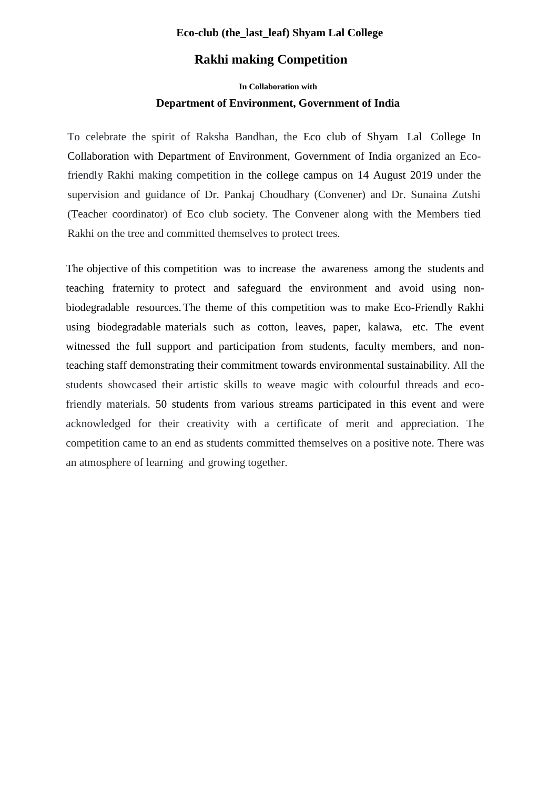## **Eco-club (the\_last\_leaf) Shyam Lal College**

## **Rakhi making Competition**

## **In Collaboration with** Department of Environment, Government of India

To celebrate the spirit of Raksha Bandhan, the Eco club of Shyam Lal College In Collaboration with Department of Environment, Government of India organized an Ecofriendly Rakhi making competition in the college campus on 14 August 2019 under the supervision and guidance of Dr. Pankaj Choudhary (Convener) and Dr. Sunaina Zutshi (Teacher coordinator) of Eco club society. The Convener along with the Members tied Rakhi on the tree and committed themselves to protect trees.

The objective of this competition was to increase the awareness among the students and teaching fraternity to protect and safeguard the environment and avoid using nonbiodegradable resources. The theme of this competition was to make Eco-Friendly Rakhi using biodegradable materials such as cotton, leaves, paper, kalawa, etc. The event witnessed the full support and participation from students, faculty members, and nonteaching staff demonstrating their commitment towards environmental sustainability. All the students showcased their artistic skills to weave magic with colourful threads and ecofriendly materials. 50 students from various streams participated in this event and were acknowledged for their creativity with a certificate of merit and appreciation. The competition came to an end as students committed themselves on a positive note. There was an atmosphere of learning and growing together.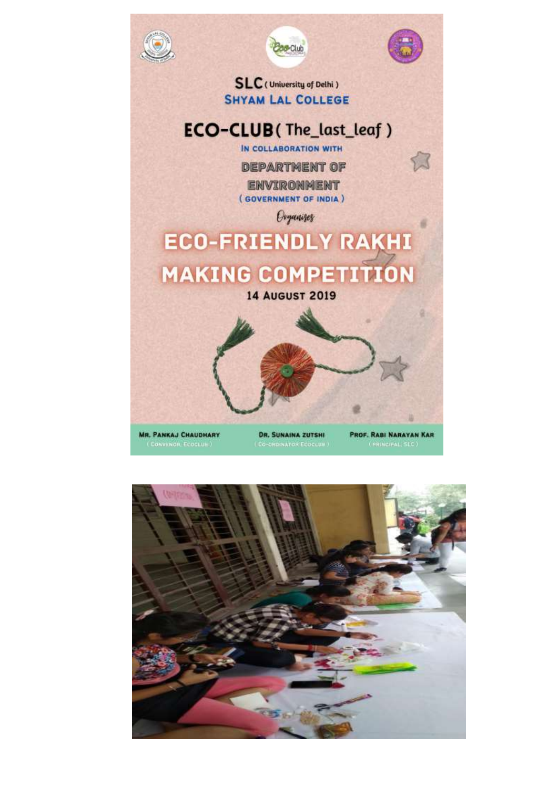

![](_page_1_Picture_1.jpeg)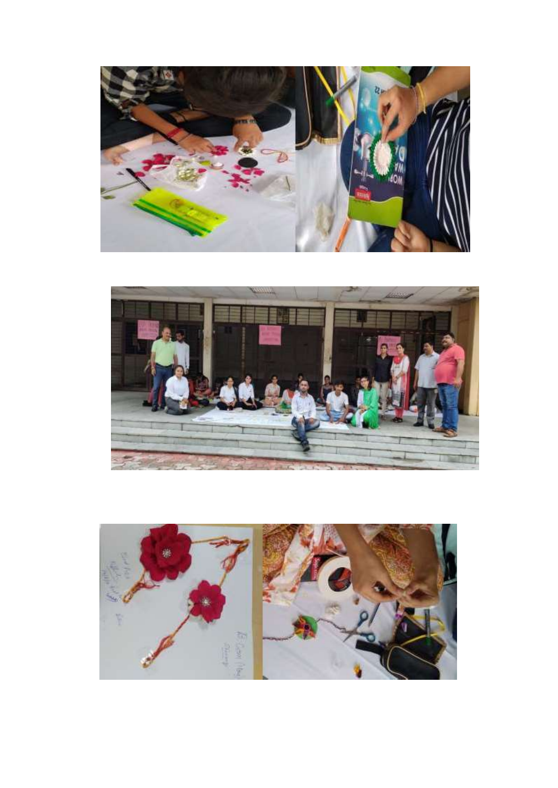![](_page_2_Picture_0.jpeg)

![](_page_2_Picture_1.jpeg)

![](_page_2_Picture_2.jpeg)